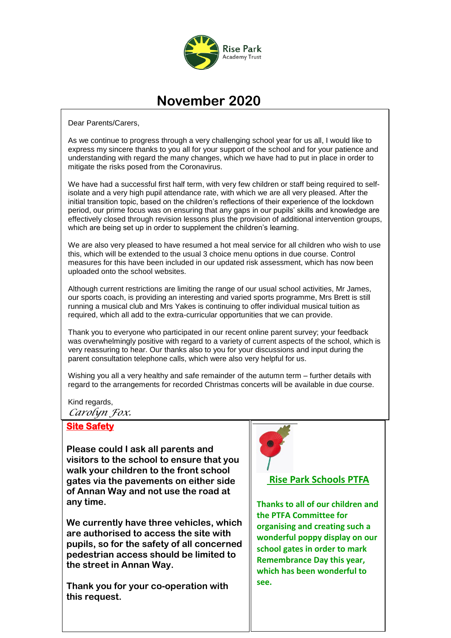

## **November 2020**

Dear Parents/Carers,

As we continue to progress through a very challenging school year for us all, I would like to express my sincere thanks to you all for your support of the school and for your patience and understanding with regard the many changes, which we have had to put in place in order to mitigate the risks posed from the Coronavirus.

We have had a successful first half term, with very few children or staff being required to selfisolate and a very high pupil attendance rate, with which we are all very pleased. After the initial transition topic, based on the children's reflections of their experience of the lockdown period, our prime focus was on ensuring that any gaps in our pupils' skills and knowledge are effectively closed through revision lessons plus the provision of additional intervention groups, which are being set up in order to supplement the children's learning.

We are also very pleased to have resumed a hot meal service for all children who wish to use this, which will be extended to the usual 3 choice menu options in due course. Control measures for this have been included in our updated risk assessment, which has now been uploaded onto the school websites.

Although current restrictions are limiting the range of our usual school activities, Mr James, our sports coach, is providing an interesting and varied sports programme, Mrs Brett is still running a musical club and Mrs Yakes is continuing to offer individual musical tuition as required, which all add to the extra-curricular opportunities that we can provide.

Thank you to everyone who participated in our recent online parent survey; your feedback was overwhelmingly positive with regard to a variety of current aspects of the school, which is very reassuring to hear. Our thanks also to you for your discussions and input during the parent consultation telephone calls, which were also very helpful for us.

Wishing you all a very healthy and safe remainder of the autumn term – further details with regard to the arrangements for recorded Christmas concerts will be available in due course.

Kind regards,

*Carolyn Fox.* 

## **Site Safety**

**Please could I ask all parents and visitors to the school to ensure that you walk your children to the front school gates via the pavements on either side of Annan Way and not use the road at any time.** 

**We currently have three vehicles, which are authorised to access the site with pupils, so for the safety of all concerned pedestrian access should be limited to the street in Annan Way.**

**Thank you for your co-operation with this request.**



## **Rise Park Schools PTFA**

**Thanks to all of our children and the PTFA Committee for organising and creating such a wonderful poppy display on our school gates in order to mark Remembrance Day this year, which has been wonderful to see.**